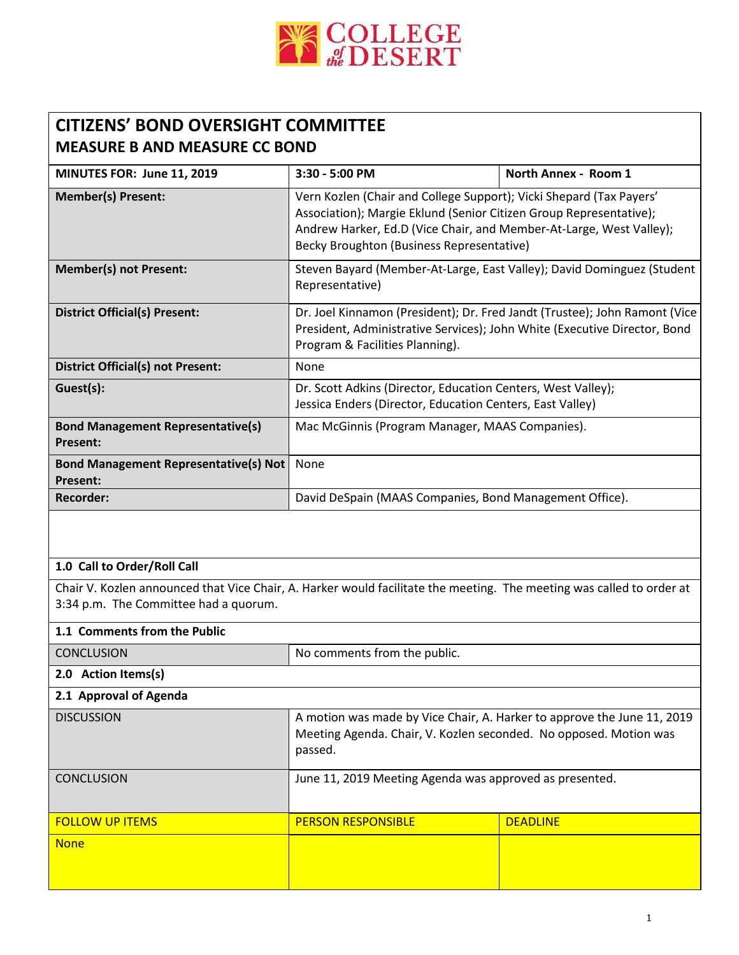

## **CITIZENS' BOND OVERSIGHT COMMITTEE MEASURE B AND MEASURE CC BOND**

| MINUTES FOR: June 11, 2019                                      | 3:30 - 5:00 PM                                                                                                                                                                                                                                                | North Annex - Room 1 |
|-----------------------------------------------------------------|---------------------------------------------------------------------------------------------------------------------------------------------------------------------------------------------------------------------------------------------------------------|----------------------|
| <b>Member(s) Present:</b>                                       | Vern Kozlen (Chair and College Support); Vicki Shepard (Tax Payers'<br>Association); Margie Eklund (Senior Citizen Group Representative);<br>Andrew Harker, Ed.D (Vice Chair, and Member-At-Large, West Valley);<br>Becky Broughton (Business Representative) |                      |
| <b>Member(s) not Present:</b>                                   | Steven Bayard (Member-At-Large, East Valley); David Dominguez (Student<br>Representative)                                                                                                                                                                     |                      |
| <b>District Official(s) Present:</b>                            | Dr. Joel Kinnamon (President); Dr. Fred Jandt (Trustee); John Ramont (Vice<br>President, Administrative Services); John White (Executive Director, Bond<br>Program & Facilities Planning).                                                                    |                      |
| <b>District Official(s) not Present:</b>                        | None                                                                                                                                                                                                                                                          |                      |
| Guest(s):                                                       | Dr. Scott Adkins (Director, Education Centers, West Valley);<br>Jessica Enders (Director, Education Centers, East Valley)                                                                                                                                     |                      |
| <b>Bond Management Representative(s)</b><br><b>Present:</b>     | Mac McGinnis (Program Manager, MAAS Companies).                                                                                                                                                                                                               |                      |
| <b>Bond Management Representative(s) Not</b><br><b>Present:</b> | None                                                                                                                                                                                                                                                          |                      |
| Recorder:                                                       | David DeSpain (MAAS Companies, Bond Management Office).                                                                                                                                                                                                       |                      |

## **1.0 Call to Order/Roll Call**

Chair V. Kozlen announced that Vice Chair, A. Harker would facilitate the meeting. The meeting was called to order at 3:34 p.m. The Committee had a quorum.

| 1.1 Comments from the Public |                                                                                                                                                         |                 |
|------------------------------|---------------------------------------------------------------------------------------------------------------------------------------------------------|-----------------|
| <b>CONCLUSION</b>            | No comments from the public.                                                                                                                            |                 |
| 2.0 Action Items(s)          |                                                                                                                                                         |                 |
| 2.1 Approval of Agenda       |                                                                                                                                                         |                 |
| <b>DISCUSSION</b>            | A motion was made by Vice Chair, A. Harker to approve the June 11, 2019<br>Meeting Agenda. Chair, V. Kozlen seconded. No opposed. Motion was<br>passed. |                 |
| <b>CONCLUSION</b>            | June 11, 2019 Meeting Agenda was approved as presented.                                                                                                 |                 |
| <b>FOLLOW UP ITEMS</b>       | <b>PERSON RESPONSIBLE</b>                                                                                                                               | <b>DEADLINE</b> |
| <b>None</b>                  |                                                                                                                                                         |                 |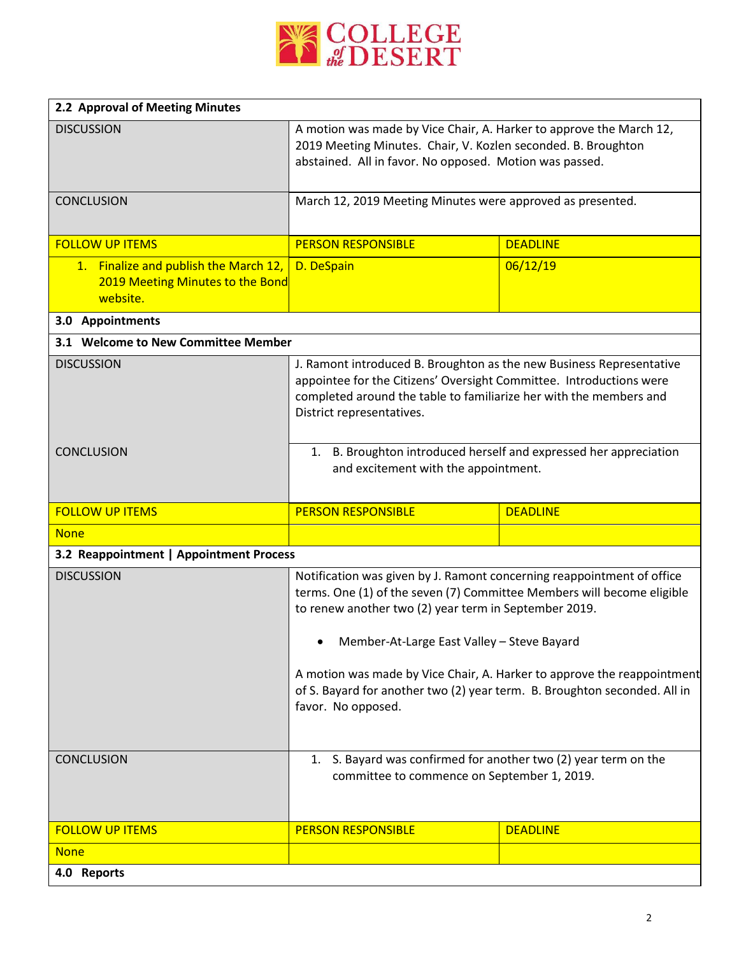

| 2.2 Approval of Meeting Minutes                                                       |                                                                                                                                                                                                                                                                                                                                      |                 |
|---------------------------------------------------------------------------------------|--------------------------------------------------------------------------------------------------------------------------------------------------------------------------------------------------------------------------------------------------------------------------------------------------------------------------------------|-----------------|
| <b>DISCUSSION</b>                                                                     | A motion was made by Vice Chair, A. Harker to approve the March 12,<br>2019 Meeting Minutes. Chair, V. Kozlen seconded. B. Broughton<br>abstained. All in favor. No opposed. Motion was passed.                                                                                                                                      |                 |
| <b>CONCLUSION</b>                                                                     | March 12, 2019 Meeting Minutes were approved as presented.                                                                                                                                                                                                                                                                           |                 |
| <b>FOLLOW UP ITEMS</b>                                                                | <b>PERSON RESPONSIBLE</b>                                                                                                                                                                                                                                                                                                            | <b>DEADLINE</b> |
| 1. Finalize and publish the March 12,<br>2019 Meeting Minutes to the Bond<br>website. | D. DeSpain                                                                                                                                                                                                                                                                                                                           | 06/12/19        |
| 3.0 Appointments                                                                      |                                                                                                                                                                                                                                                                                                                                      |                 |
| 3.1 Welcome to New Committee Member                                                   |                                                                                                                                                                                                                                                                                                                                      |                 |
| <b>DISCUSSION</b>                                                                     | J. Ramont introduced B. Broughton as the new Business Representative<br>appointee for the Citizens' Oversight Committee. Introductions were<br>completed around the table to familiarize her with the members and<br>District representatives.                                                                                       |                 |
| <b>CONCLUSION</b>                                                                     | 1. B. Broughton introduced herself and expressed her appreciation<br>and excitement with the appointment.                                                                                                                                                                                                                            |                 |
| <b>FOLLOW UP ITEMS</b>                                                                | <b>PERSON RESPONSIBLE</b>                                                                                                                                                                                                                                                                                                            | <b>DEADLINE</b> |
| <b>None</b>                                                                           |                                                                                                                                                                                                                                                                                                                                      |                 |
| 3.2 Reappointment   Appointment Process                                               |                                                                                                                                                                                                                                                                                                                                      |                 |
| <b>DISCUSSION</b>                                                                     | Notification was given by J. Ramont concerning reappointment of office<br>terms. One (1) of the seven (7) Committee Members will become eligible<br>to renew another two (2) year term in September 2019.<br>• Member-At-Large East Valley - Steve Bayard<br>A motion was made by Vice Chair, A. Harker to approve the reappointment |                 |
| <b>CONCLUSION</b>                                                                     | of S. Bayard for another two (2) year term. B. Broughton seconded. All in<br>favor. No opposed.<br>1. S. Bayard was confirmed for another two (2) year term on the                                                                                                                                                                   |                 |
|                                                                                       | committee to commence on September 1, 2019.                                                                                                                                                                                                                                                                                          |                 |
| <b>FOLLOW UP ITEMS</b>                                                                | <b>PERSON RESPONSIBLE</b>                                                                                                                                                                                                                                                                                                            | <b>DEADLINE</b> |
| <b>None</b>                                                                           |                                                                                                                                                                                                                                                                                                                                      |                 |
| 4.0 Reports                                                                           |                                                                                                                                                                                                                                                                                                                                      |                 |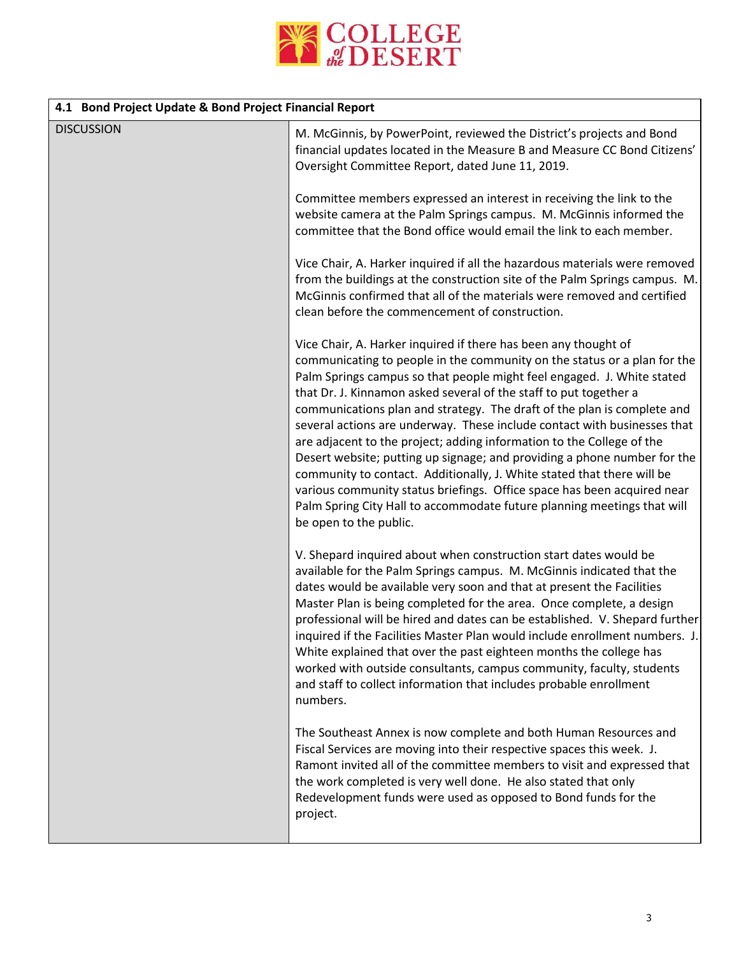

| 4.1 Bond Project Update & Bond Project Financial Report |                                                                                                                                                                                                                                                                                                                                                                                                                                                                                                                                                                                                                                                                                                                                                                                                                                                                  |  |
|---------------------------------------------------------|------------------------------------------------------------------------------------------------------------------------------------------------------------------------------------------------------------------------------------------------------------------------------------------------------------------------------------------------------------------------------------------------------------------------------------------------------------------------------------------------------------------------------------------------------------------------------------------------------------------------------------------------------------------------------------------------------------------------------------------------------------------------------------------------------------------------------------------------------------------|--|
| <b>DISCUSSION</b>                                       | M. McGinnis, by PowerPoint, reviewed the District's projects and Bond<br>financial updates located in the Measure B and Measure CC Bond Citizens'<br>Oversight Committee Report, dated June 11, 2019.                                                                                                                                                                                                                                                                                                                                                                                                                                                                                                                                                                                                                                                            |  |
|                                                         | Committee members expressed an interest in receiving the link to the<br>website camera at the Palm Springs campus. M. McGinnis informed the<br>committee that the Bond office would email the link to each member.                                                                                                                                                                                                                                                                                                                                                                                                                                                                                                                                                                                                                                               |  |
|                                                         | Vice Chair, A. Harker inquired if all the hazardous materials were removed<br>from the buildings at the construction site of the Palm Springs campus. M.<br>McGinnis confirmed that all of the materials were removed and certified<br>clean before the commencement of construction.                                                                                                                                                                                                                                                                                                                                                                                                                                                                                                                                                                            |  |
|                                                         | Vice Chair, A. Harker inquired if there has been any thought of<br>communicating to people in the community on the status or a plan for the<br>Palm Springs campus so that people might feel engaged. J. White stated<br>that Dr. J. Kinnamon asked several of the staff to put together a<br>communications plan and strategy. The draft of the plan is complete and<br>several actions are underway. These include contact with businesses that<br>are adjacent to the project; adding information to the College of the<br>Desert website; putting up signage; and providing a phone number for the<br>community to contact. Additionally, J. White stated that there will be<br>various community status briefings. Office space has been acquired near<br>Palm Spring City Hall to accommodate future planning meetings that will<br>be open to the public. |  |
|                                                         | V. Shepard inquired about when construction start dates would be<br>available for the Palm Springs campus. M. McGinnis indicated that the<br>dates would be available very soon and that at present the Facilities<br>Master Plan is being completed for the area. Once complete, a design<br>professional will be hired and dates can be established. V. Shepard further<br>inquired if the Facilities Master Plan would include enrollment numbers. J.<br>White explained that over the past eighteen months the college has<br>worked with outside consultants, campus community, faculty, students<br>and staff to collect information that includes probable enrollment<br>numbers.                                                                                                                                                                         |  |
|                                                         | The Southeast Annex is now complete and both Human Resources and<br>Fiscal Services are moving into their respective spaces this week. J.<br>Ramont invited all of the committee members to visit and expressed that<br>the work completed is very well done. He also stated that only<br>Redevelopment funds were used as opposed to Bond funds for the<br>project.                                                                                                                                                                                                                                                                                                                                                                                                                                                                                             |  |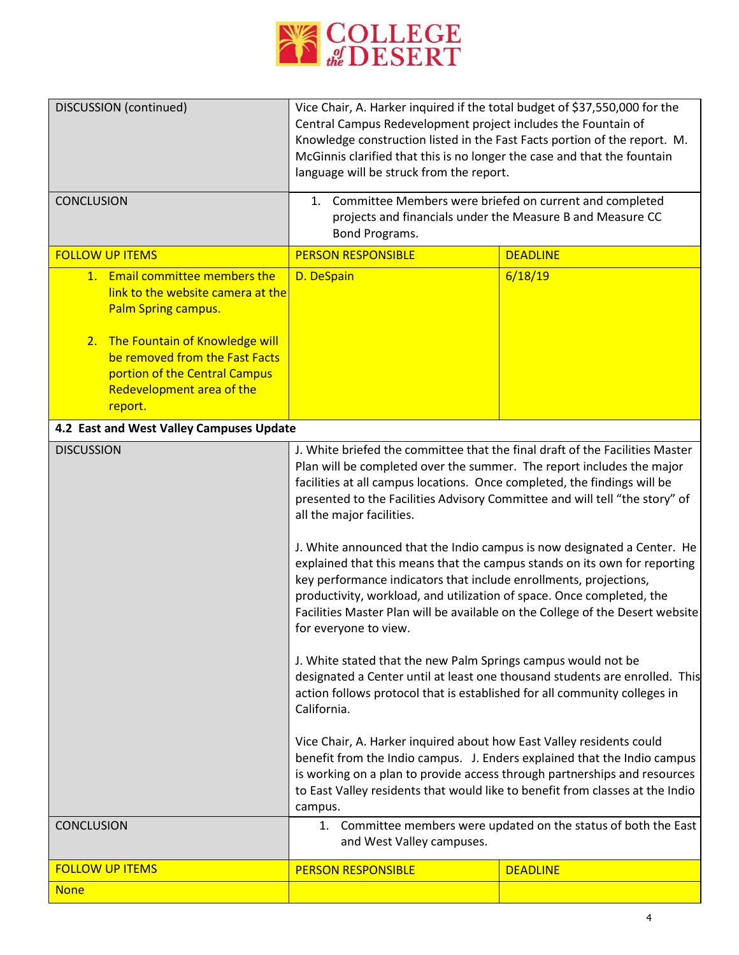

| <b>DISCUSSION</b> (continued)                                                                                                                                                                                                   | Vice Chair, A. Harker inquired if the total budget of \$37,550,000 for the<br>Central Campus Redevelopment project includes the Fountain of<br>Knowledge construction listed in the Fast Facts portion of the report. M.<br>McGinnis clarified that this is no longer the case and that the fountain<br>language will be struck from the report.                                                                                                                                                                                                                                                                                                                                                                                                                                                                                                                                                                                                                                                                                                                                                                                                                                                                                                                                                                                       |                 |
|---------------------------------------------------------------------------------------------------------------------------------------------------------------------------------------------------------------------------------|----------------------------------------------------------------------------------------------------------------------------------------------------------------------------------------------------------------------------------------------------------------------------------------------------------------------------------------------------------------------------------------------------------------------------------------------------------------------------------------------------------------------------------------------------------------------------------------------------------------------------------------------------------------------------------------------------------------------------------------------------------------------------------------------------------------------------------------------------------------------------------------------------------------------------------------------------------------------------------------------------------------------------------------------------------------------------------------------------------------------------------------------------------------------------------------------------------------------------------------------------------------------------------------------------------------------------------------|-----------------|
| <b>CONCLUSION</b>                                                                                                                                                                                                               | 1. Committee Members were briefed on current and completed<br>projects and financials under the Measure B and Measure CC<br>Bond Programs.                                                                                                                                                                                                                                                                                                                                                                                                                                                                                                                                                                                                                                                                                                                                                                                                                                                                                                                                                                                                                                                                                                                                                                                             |                 |
| <b>FOLLOW UP ITEMS</b>                                                                                                                                                                                                          | <b>PERSON RESPONSIBLE</b>                                                                                                                                                                                                                                                                                                                                                                                                                                                                                                                                                                                                                                                                                                                                                                                                                                                                                                                                                                                                                                                                                                                                                                                                                                                                                                              | <b>DEADLINE</b> |
| 1. Email committee members the<br>link to the website camera at the<br>Palm Spring campus.<br>2. The Fountain of Knowledge will<br>be removed from the Fast Facts<br>portion of the Central Campus<br>Redevelopment area of the | D. DeSpain                                                                                                                                                                                                                                                                                                                                                                                                                                                                                                                                                                                                                                                                                                                                                                                                                                                                                                                                                                                                                                                                                                                                                                                                                                                                                                                             | 6/18/19         |
| report.                                                                                                                                                                                                                         |                                                                                                                                                                                                                                                                                                                                                                                                                                                                                                                                                                                                                                                                                                                                                                                                                                                                                                                                                                                                                                                                                                                                                                                                                                                                                                                                        |                 |
| 4.2 East and West Valley Campuses Update                                                                                                                                                                                        |                                                                                                                                                                                                                                                                                                                                                                                                                                                                                                                                                                                                                                                                                                                                                                                                                                                                                                                                                                                                                                                                                                                                                                                                                                                                                                                                        |                 |
| <b>DISCUSSION</b>                                                                                                                                                                                                               | J. White briefed the committee that the final draft of the Facilities Master<br>Plan will be completed over the summer. The report includes the major<br>facilities at all campus locations. Once completed, the findings will be<br>presented to the Facilities Advisory Committee and will tell "the story" of<br>all the major facilities.<br>J. White announced that the Indio campus is now designated a Center. He<br>explained that this means that the campus stands on its own for reporting<br>key performance indicators that include enrollments, projections,<br>productivity, workload, and utilization of space. Once completed, the<br>Facilities Master Plan will be available on the College of the Desert website<br>for everyone to view.<br>J. White stated that the new Palm Springs campus would not be<br>designated a Center until at least one thousand students are enrolled. This<br>action follows protocol that is established for all community colleges in<br>California.<br>Vice Chair, A. Harker inquired about how East Valley residents could<br>benefit from the Indio campus. J. Enders explained that the Indio campus<br>is working on a plan to provide access through partnerships and resources<br>to East Valley residents that would like to benefit from classes at the Indio<br>campus. |                 |
| <b>CONCLUSION</b>                                                                                                                                                                                                               | 1. Committee members were updated on the status of both the East<br>and West Valley campuses.                                                                                                                                                                                                                                                                                                                                                                                                                                                                                                                                                                                                                                                                                                                                                                                                                                                                                                                                                                                                                                                                                                                                                                                                                                          |                 |
| <b>FOLLOW UP ITEMS</b>                                                                                                                                                                                                          | <b>PERSON RESPONSIBLE</b>                                                                                                                                                                                                                                                                                                                                                                                                                                                                                                                                                                                                                                                                                                                                                                                                                                                                                                                                                                                                                                                                                                                                                                                                                                                                                                              | <b>DEADLINE</b> |
| <b>None</b>                                                                                                                                                                                                                     |                                                                                                                                                                                                                                                                                                                                                                                                                                                                                                                                                                                                                                                                                                                                                                                                                                                                                                                                                                                                                                                                                                                                                                                                                                                                                                                                        |                 |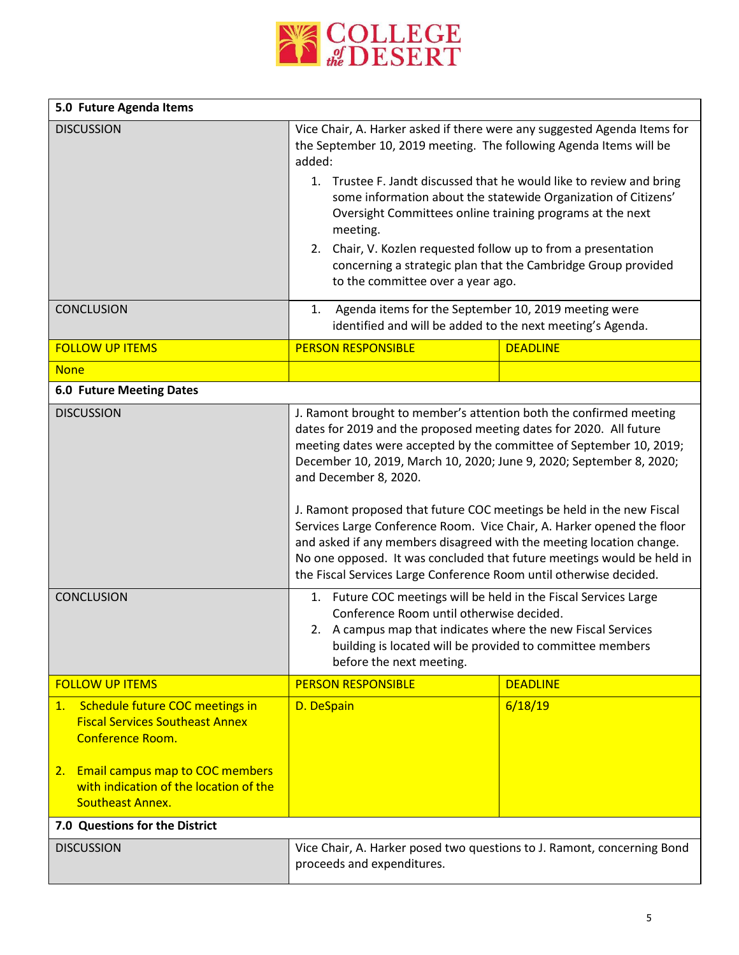

| 5.0 Future Agenda Items                                                                                                                                                                    |                                                                                                                                                                                                                                                                                                                                                                                                                                                                                                                                                                                                                                                                                                                                                                |                 |
|--------------------------------------------------------------------------------------------------------------------------------------------------------------------------------------------|----------------------------------------------------------------------------------------------------------------------------------------------------------------------------------------------------------------------------------------------------------------------------------------------------------------------------------------------------------------------------------------------------------------------------------------------------------------------------------------------------------------------------------------------------------------------------------------------------------------------------------------------------------------------------------------------------------------------------------------------------------------|-----------------|
| <b>DISCUSSION</b>                                                                                                                                                                          | Vice Chair, A. Harker asked if there were any suggested Agenda Items for<br>the September 10, 2019 meeting. The following Agenda Items will be<br>added:<br>1. Trustee F. Jandt discussed that he would like to review and bring<br>some information about the statewide Organization of Citizens'<br>Oversight Committees online training programs at the next<br>meeting.<br>Chair, V. Kozlen requested follow up to from a presentation<br>2.<br>concerning a strategic plan that the Cambridge Group provided<br>to the committee over a year ago.                                                                                                                                                                                                         |                 |
| <b>CONCLUSION</b>                                                                                                                                                                          | Agenda items for the September 10, 2019 meeting were<br>1.<br>identified and will be added to the next meeting's Agenda.                                                                                                                                                                                                                                                                                                                                                                                                                                                                                                                                                                                                                                       |                 |
| <b>FOLLOW UP ITEMS</b>                                                                                                                                                                     | <b>PERSON RESPONSIBLE</b>                                                                                                                                                                                                                                                                                                                                                                                                                                                                                                                                                                                                                                                                                                                                      | <b>DEADLINE</b> |
| <b>None</b>                                                                                                                                                                                |                                                                                                                                                                                                                                                                                                                                                                                                                                                                                                                                                                                                                                                                                                                                                                |                 |
| <b>6.0 Future Meeting Dates</b>                                                                                                                                                            |                                                                                                                                                                                                                                                                                                                                                                                                                                                                                                                                                                                                                                                                                                                                                                |                 |
| <b>DISCUSSION</b><br><b>CONCLUSION</b>                                                                                                                                                     | J. Ramont brought to member's attention both the confirmed meeting<br>dates for 2019 and the proposed meeting dates for 2020. All future<br>meeting dates were accepted by the committee of September 10, 2019;<br>December 10, 2019, March 10, 2020; June 9, 2020; September 8, 2020;<br>and December 8, 2020.<br>J. Ramont proposed that future COC meetings be held in the new Fiscal<br>Services Large Conference Room. Vice Chair, A. Harker opened the floor<br>and asked if any members disagreed with the meeting location change.<br>No one opposed. It was concluded that future meetings would be held in<br>the Fiscal Services Large Conference Room until otherwise decided.<br>1. Future COC meetings will be held in the Fiscal Services Large |                 |
|                                                                                                                                                                                            | Conference Room until otherwise decided.<br>2. A campus map that indicates where the new Fiscal Services<br>building is located will be provided to committee members<br>before the next meeting.                                                                                                                                                                                                                                                                                                                                                                                                                                                                                                                                                              |                 |
| <b>FOLLOW UP ITEMS</b>                                                                                                                                                                     | <b>PERSON RESPONSIBLE</b>                                                                                                                                                                                                                                                                                                                                                                                                                                                                                                                                                                                                                                                                                                                                      | <b>DEADLINE</b> |
| Schedule future COC meetings in<br>1.<br><b>Fiscal Services Southeast Annex</b><br><b>Conference Room.</b><br>2. Email campus map to COC members<br>with indication of the location of the | D. DeSpain                                                                                                                                                                                                                                                                                                                                                                                                                                                                                                                                                                                                                                                                                                                                                     | 6/18/19         |
| <b>Southeast Annex.</b>                                                                                                                                                                    |                                                                                                                                                                                                                                                                                                                                                                                                                                                                                                                                                                                                                                                                                                                                                                |                 |
| 7.0 Questions for the District                                                                                                                                                             |                                                                                                                                                                                                                                                                                                                                                                                                                                                                                                                                                                                                                                                                                                                                                                |                 |
| <b>DISCUSSION</b>                                                                                                                                                                          | Vice Chair, A. Harker posed two questions to J. Ramont, concerning Bond<br>proceeds and expenditures.                                                                                                                                                                                                                                                                                                                                                                                                                                                                                                                                                                                                                                                          |                 |